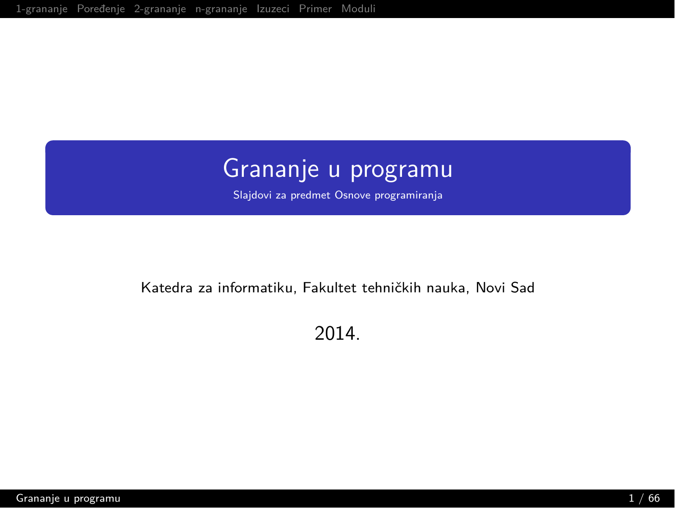# <span id="page-0-0"></span>Grananje u programu

Slajdovi za predmet Osnove programiranja

#### Katedra za informatiku, Fakultet tehničkih nauka, Novi Sad

2014.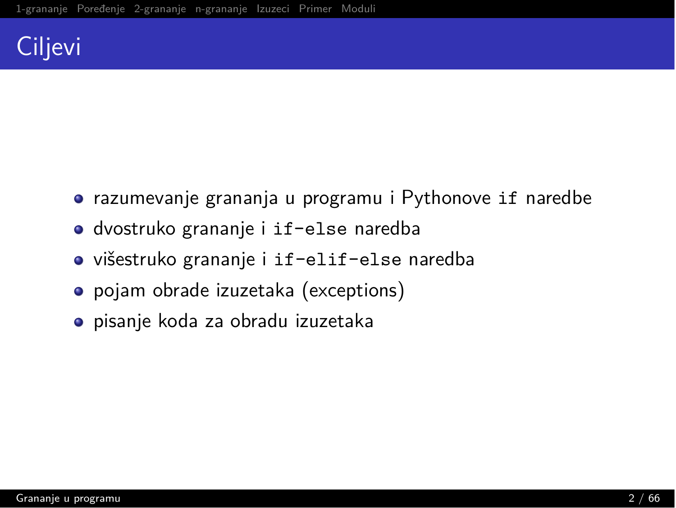# Ciljevi

- $\bullet$  razumevanje grananja u programu i Pythonove if naredbe
- $\bullet$  dvostruko grananje i if-else naredba
- višestruko grananje i if-elif-else naredba
- pojam obrade izuzetaka (exceptions)
- pisanje koda za obradu izuzetaka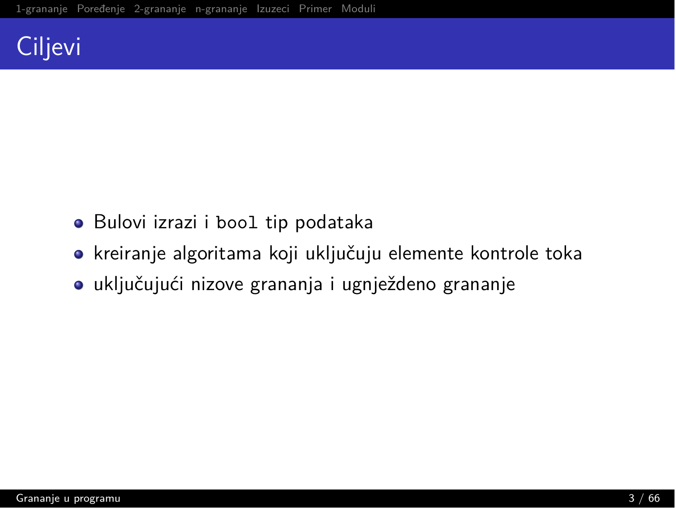# Ciljevi

- · Bulovi izrazi i bool tip podataka
- · kreiranje algoritama koji uključuju elemente kontrole toka
- · uključujući nizove grananja i ugnježdeno grananje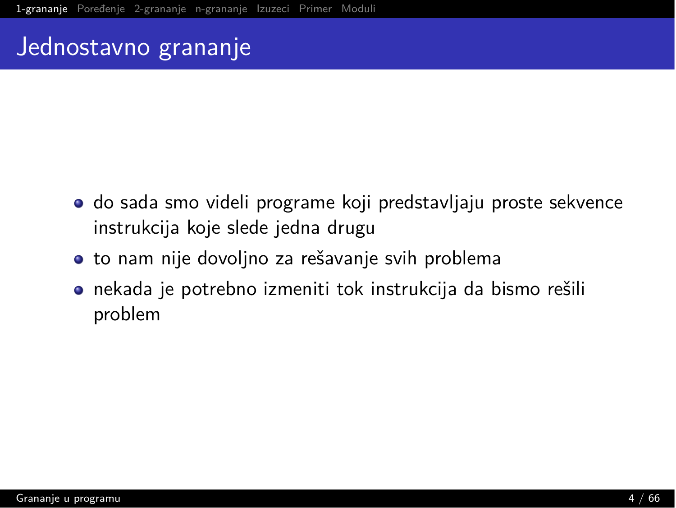#### <span id="page-3-0"></span>Jednostavno grananje

- $\bullet$  do sada smo videli programe koji predstavljaju proste sekvence instrukcija koje slede jedna drugu
- $\bullet$  to nam nije dovoljno za rešavanje svih problema
- $\bullet$  nekada je potrebno izmeniti tok instrukcija da bismo rešili problem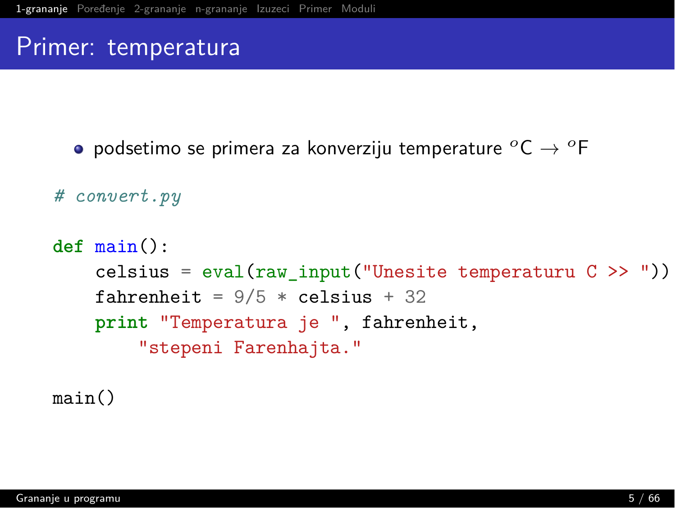#### Primer: temperatura

 $\bullet$  podsetimo se primera za konverziju temperature  ${}^{\circ}$ C  $\rightarrow$   ${}^{\circ}$ F

```
# convert.py
```

```
def \ main():
    celsius = eval(raw_{input}("Unesite temperature C >> "))fahrenheit = 9/5 * celsius + 32
    print "Temperatura je ", fahrenheit,
        "stepeni Farenhajta."
```
 $main()$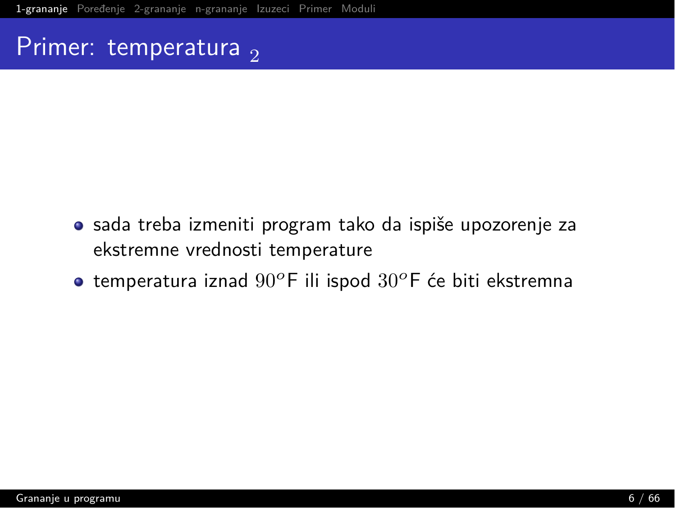#### Primer: temperatura,

- sada treba izmeniti program tako da ispiše upozorenje za ekstremne vrednosti temperature
- $\bullet$  temperatura iznad 90°F ili ispod 30°F će biti ekstremna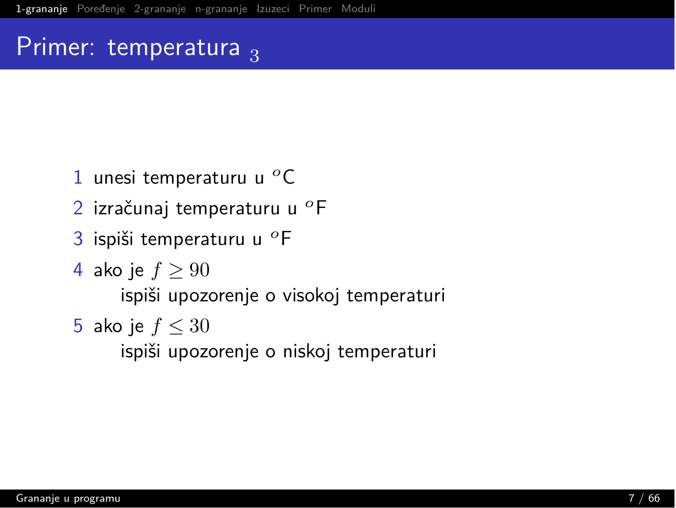#### Primer: temperatura  $_3$

- 1 unesi temperaturu u  ${}^{o}$ C
- 2 izračunaj temperaturu u <sup>o</sup>F
- 3 ispiši temperaturu u <sup>o</sup>F
- 4 ako je  $f \geq 90$

ispiši upozorenje o visokoj temperaturi

5 ako je  $f \leq 30$ 

ispiši upozorenje o niskoj temperaturi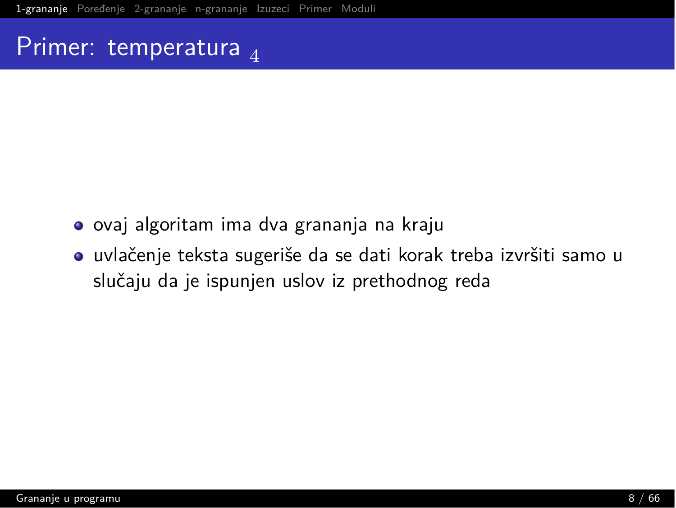#### Primer: temperatura  $_4$

- · ovaj algoritam ima dva grananja na kraju
- · uvlačenje teksta sugeriše da se dati korak treba izvršiti samo u slučaju da je ispunjen uslov iz prethodnog reda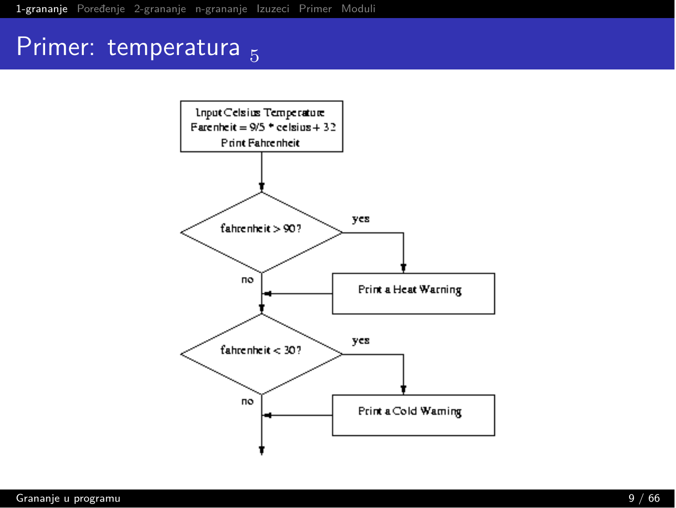## Primer: temperatura 5

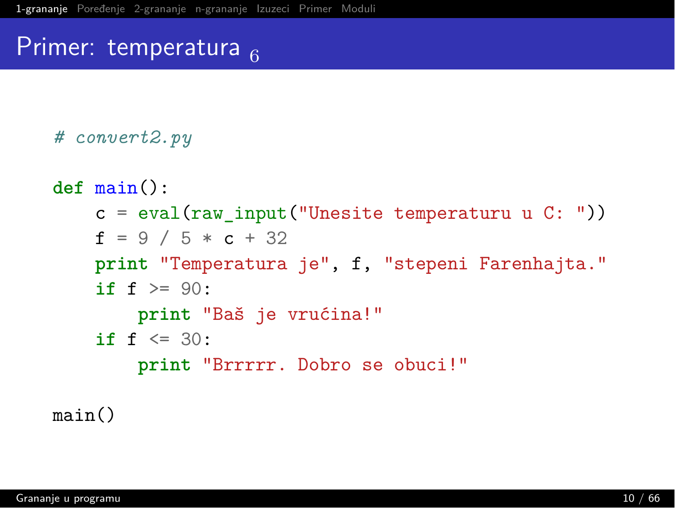#### Primer: temperatura  $_{\rm g}$

```
# convert2.py
```

```
def main():
    c = eval(raw_input("Unesite temperature u C: "))f = 9 / 5 * c + 32print "Temperatura je", f, "stepeni Farenhajta."
    if f > = 90;
        print "Baš je vrućina!"
    if f \leq 30;
        print "Brrrrr. Dobro se obuci!"
```
 $main()$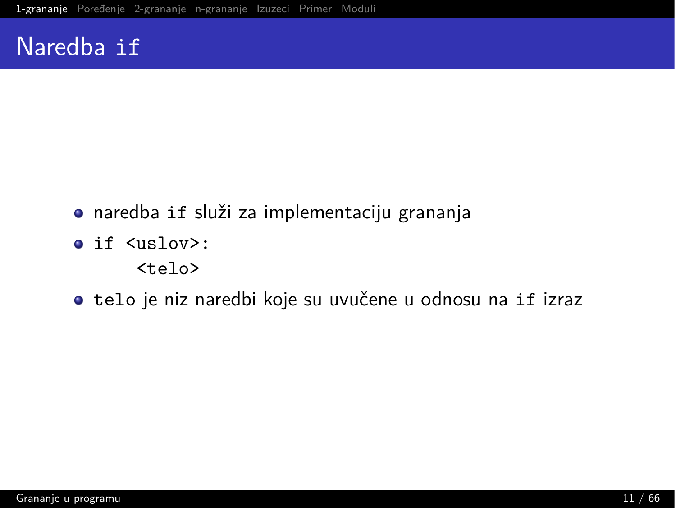#### Naredba if

- · naredba if služi za implementaciju grananja
- $\bullet$  if  $\langle$ uslov>:

 $<sub>telo</sub>$ </sub>

· telo je niz naredbi koje su uvučene u odnosu na if izraz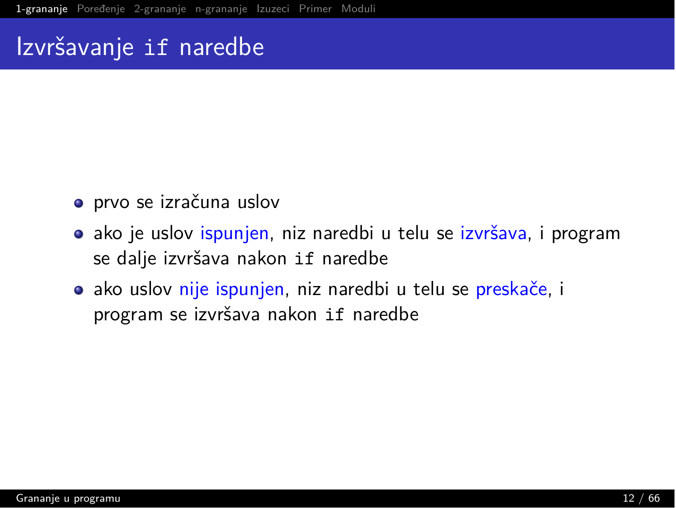#### Izvršavanje if naredbe

- prvo se izračuna uslov
- **•** ako je uslov ispunjen, niz naredbi u telu se izvršava, i program se dalje izvršava nakon if naredbe
- **•** ako uslov nije ispunjen, niz naredbi u telu se preskače, i program se izvršava nakon if naredbe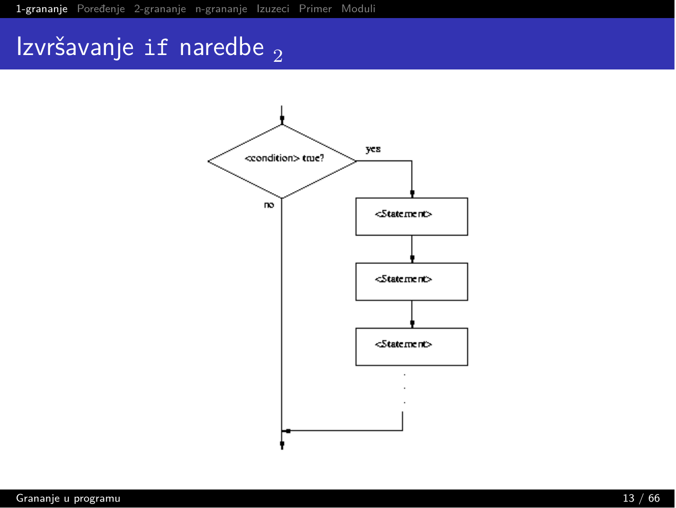# Izvršavanje if naredbe  $_2$

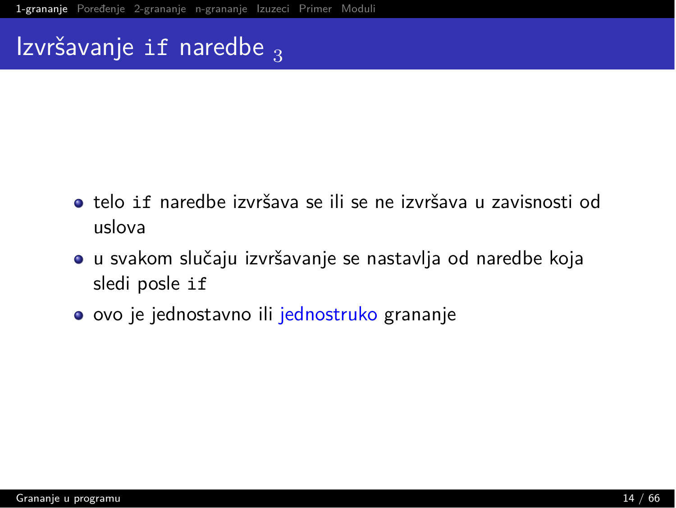## Izvršavanje if naredbe  $_3$

- $\bullet$  telo if naredbe izvršava se ili se ne izvršava u zavisnosti od mslova
- $\bullet$  u svakom slučaju izvršavanje se nastavlja od naredbe koja sledi posle if
- $\bullet$  ovo je jednostavno ili jednostruko grananje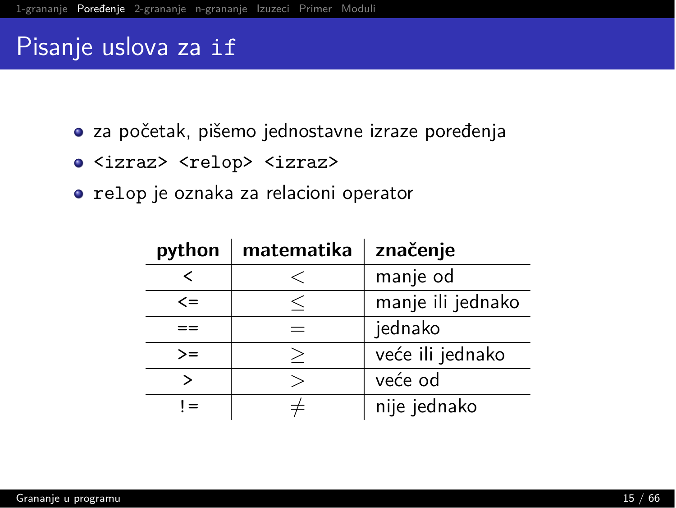#### <span id="page-14-0"></span>Pisanje uslova za if

- · za početak, pišemo jednostavne izraze poređenja
- · <izraz> <relop> <izraz>
- · relop je oznaka za relacioni operator

| python | matematika | značenje          |
|--------|------------|-------------------|
|        | $\lt$      | manje od          |
| $\leq$ | <          | manje ili jednako |
|        |            | jednako           |
| $>=$   |            | veće ili jednako  |
|        |            | veće od           |
| $l =$  |            | nije jednako      |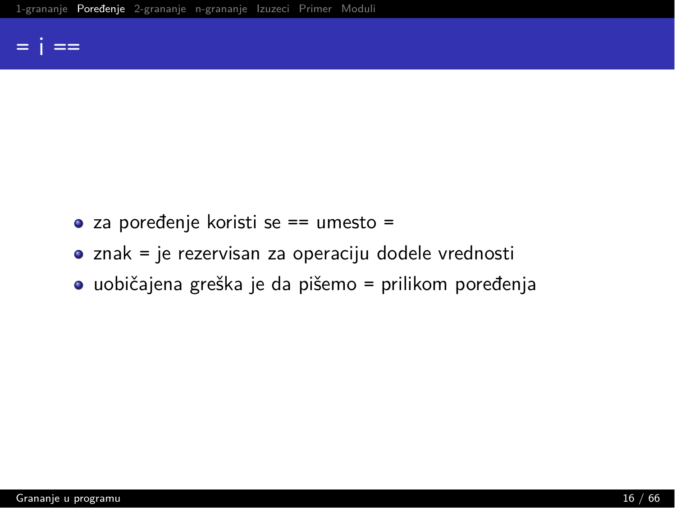#### $=$  i  $=$

- $\bullet$  za poređenje koristi se == umesto =
- znak = je rezervisan za operaciju dodele vrednosti
- $\bullet$  uobičajena greška je da pišemo = prilikom poređenja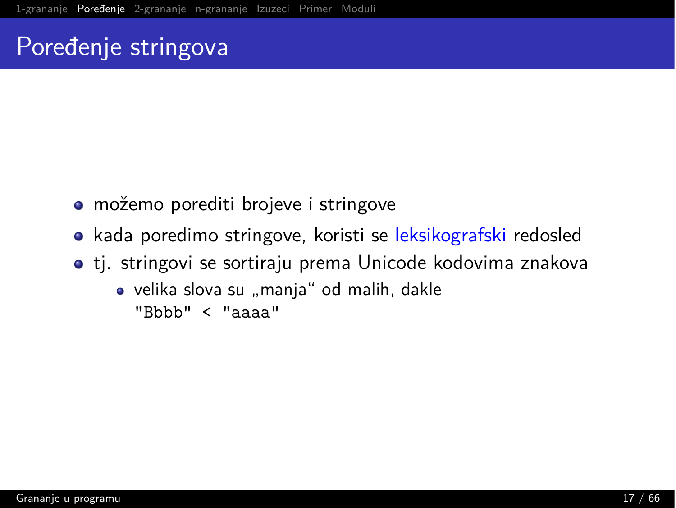### Poređenje stringova

- možemo porediti brojeve i stringove
- kada poredimo stringove, koristi se leksikografski redosled
- $\bullet$  tj. stringovi se sortiraju prema Unicode kodovima znakova
	- velika slova su "manja" od malih, dakle "Bbbb" < "aaaa"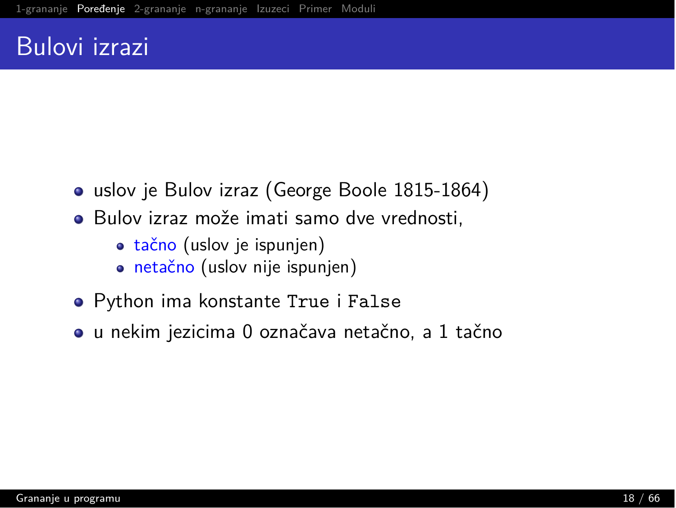#### Bulovi izrazi

- uslov je Bulov izraz (George Boole 1815-1864)
- Bulov izraz može imati samo dve vrednosti.
	- **tačno** (uslov je ispunjen)
	- · netačno (uslov nije ispunjen)
- Python ima konstante True i False
- · u nekim jezicima 0 označava netačno, a 1 tačno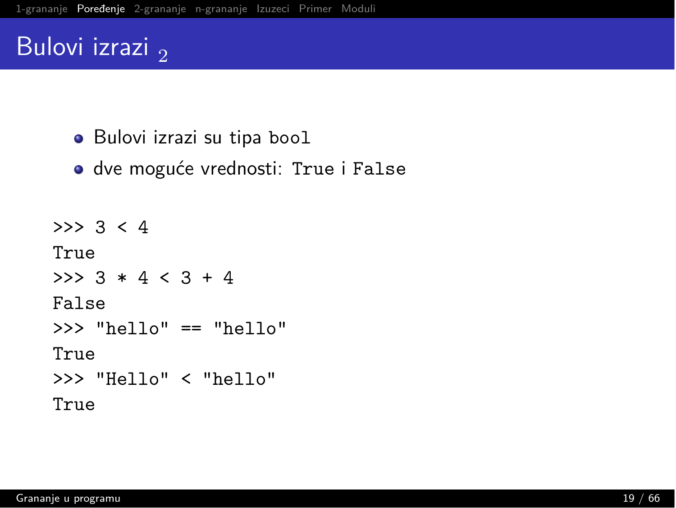#### Bulovi izrazi,

- · Bulovi izrazi su tipa bool
- · dve moguće vrednosti: True i False

```
>> 3 < 4
True
>> 3 * 4 < 3 + 4
False
\gg "hello" == "hello"
True
>>> "Hello" < "hello"
True
```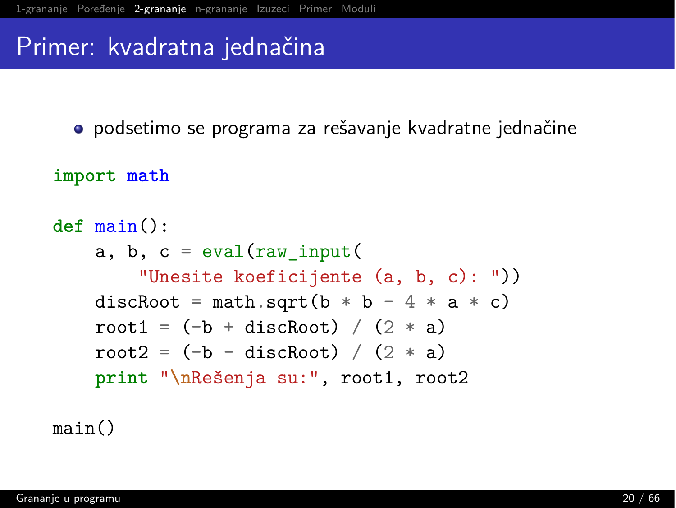#### <span id="page-19-0"></span>Primer: kvadratna jednačina

· podsetimo se programa za rešavanje kvadratne jednačine

import math

```
def \ main():
    a, b, c = eval(raw input)"Unesite koeficijente (a, b, c): "))
    discRoot = math.sqrt(b * b - 4 * a * c)
    root1 = (-b + discRoot) / (2 * a)root2 = (-b - discRoot) / (2 * a)print "\nRešenja su:", root1, root2
```
 $main()$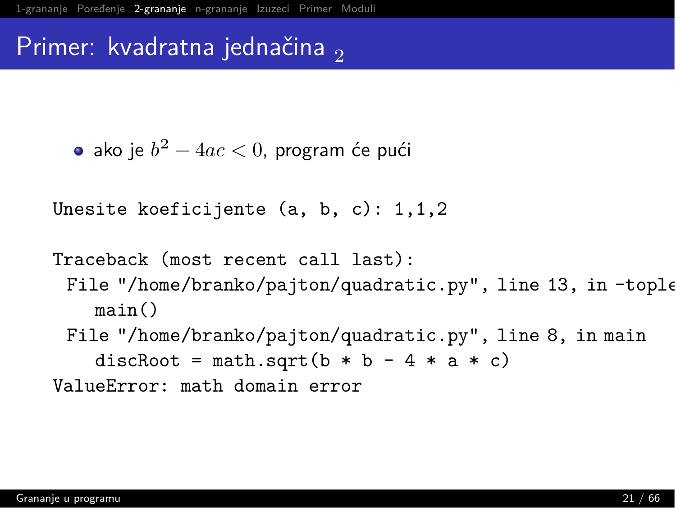#### Primer: kvadratna jednačina  $\sigma$

```
• ako je b^2 - 4ac < 0, program će pući
```

```
Unesite koeficijente (a, b, c): 1, 1, 2
```

```
Traceback (most recent call last):
 File "/home/branko/pajton/quadratic.py", line 13, in-tople
    main()File "/home/branko/pajton/quadratic.py", line 8, in main
    discRoot = math.sqrt(b * b - 4 * a * c)
ValueError: math domain error
```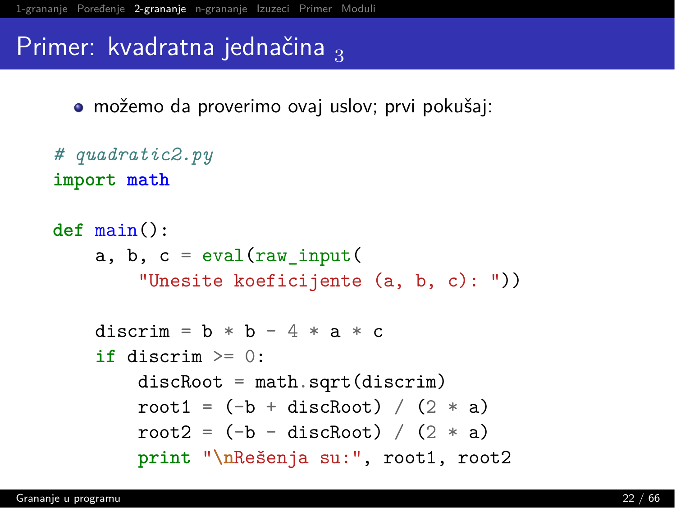#### Primer: kvadratna jednačina

• možemo da proverimo ovaj uslov; prvi pokušaj:

```
# quadratic2.py
import math
```

```
def main():
    a, b, c = eval(raw input)"Unesite koeficijente (a, b, c): "))
    discrim = \mathbf{b} * \mathbf{b} - 4 * \mathbf{a} * \mathbf{c}\mathbf{if} \text{discrim} > = 0:
         discRoot = math.sqrt(discrin)root1 = (-b + discRoot) / (2 * a)root2 = (-b - discRoot) / (2 * a)print "\nRešenja su:", root1, root2
```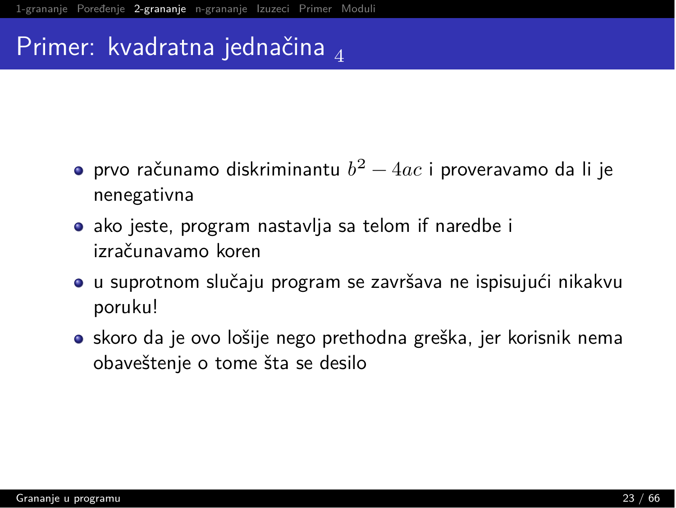## Primer: kvadratna jednačina  $\lambda$

- $\bullet$  prvo računamo diskriminantu  $b^2 4ac$  i proveravamo da li je nenegativna
- $\bullet$  ako jeste, program nastavlja sa telom if naredbe i izračunavamo koren
- $\bullet$  u suprotnom slučaju program se završava ne ispisujući nikakvu poruku!
- $\bullet$  skoro da je ovo lošije nego prethodna greška, jer korisnik nema obaveštenje o tome šta se desilo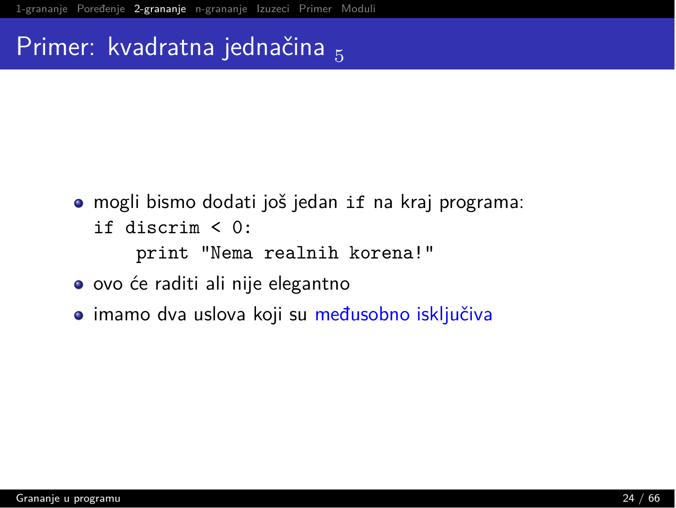# Primer: kvadratna jednačina 5

- · mogli bismo dodati još jedan if na kraj programa:
	- if discrim  $\leq 0$ :

print "Nema realnih korena!"

- ovo će raditi ali nije elegantno
- · imamo dva uslova koji su međusobno isključiva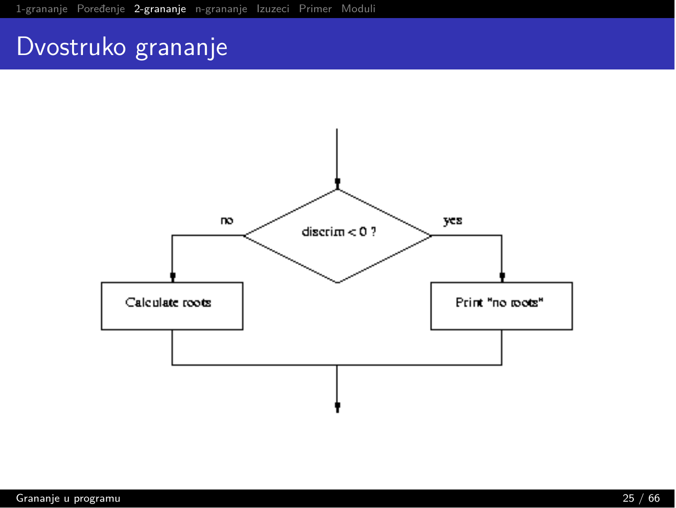#### Dvostruko grananje

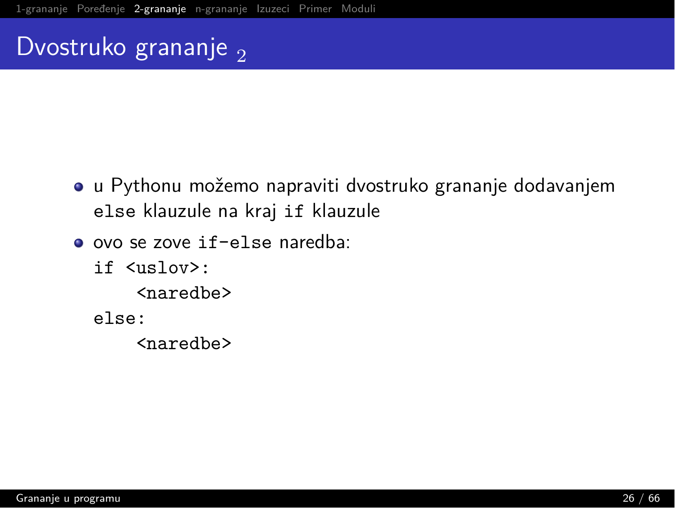#### Dvostruko grananje  $_2$

- u Pythonu možemo napraviti dvostruko grananje dodavanjem else klauzule na kraj if klauzule
- o ovo se zove if-else naredba:
	- if <uslov>:
		- <naredbe>
	- else:
		- <naredbe>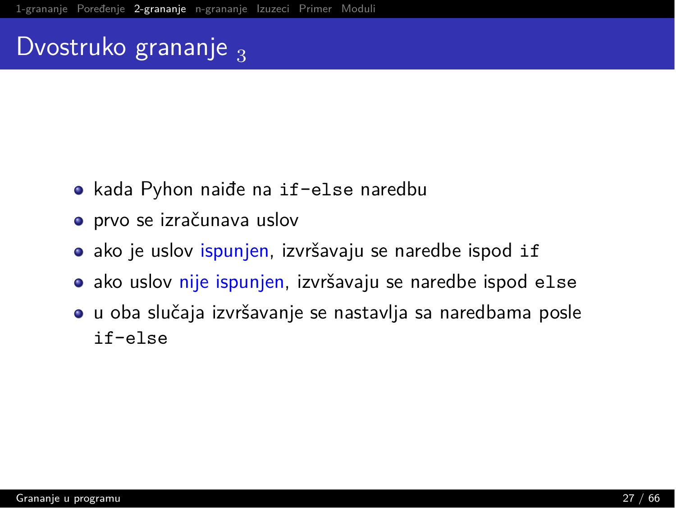## Dvostruko grananje 3

- kada Pyhon naiđe na if-else naredbu
- prvo se izračunava uslov
- **•** ako je uslov ispunjen, izvršavaju se naredbe ispod if
- **•** ako uslov nije ispunjen, izvršavaju se naredbe ispod else
- $\bullet$  u oba slučaja izvršavanje se nastavlja sa naredbama posle if-else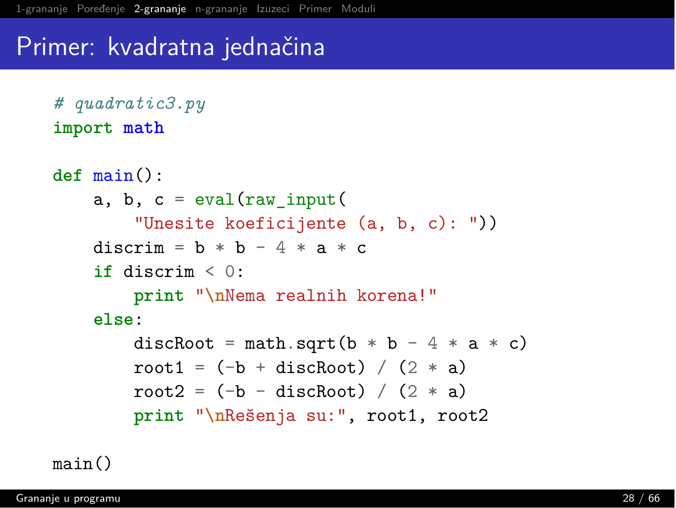#### Primer: kvadratna jednačina

```
# quadratic3.py
import math
```

```
def main():
    a, b, c = eval(raw_input("Unesite koeficijente (a, b, c): "))
    discrim = b * b - 4 * a * cif discrim \leq 0:
        print "\nNema realnih korena!"
    else:
        discRoot = math.sqrt(b * b - 4 * a * c)
        root1 = (-b + discRoot) / (2 * a)root2 = (-b -discRoot) / (2 * a)print "\nRešenja su:", root1, root2
```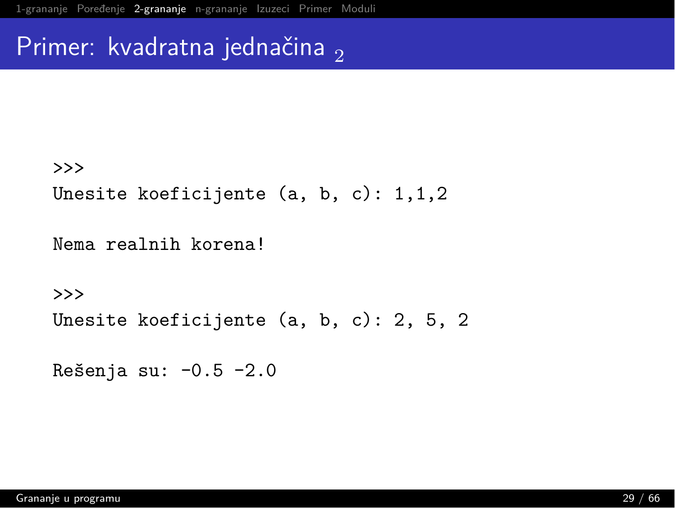#### Primer: kvadratna jednačina,

#### $>>$

Unesite koeficijente  $(a, b, c): 1,1,2$ 

Nema realnih korena!

 $>>$ 

```
Unesite koeficijente (a, b, c): 2, 5, 2
```

```
Rešenja su: -0.5 -2.0
```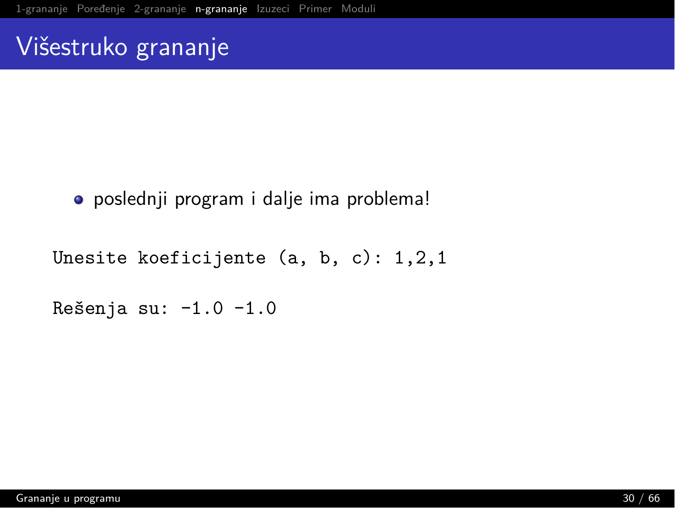#### <span id="page-29-0"></span>Višestruko grananje

#### • poslednji program i dalje ima problema!

```
Unesite koeficijente (a, b, c): 1, 2, 1
```
Rešenja su: -1.0 -1.0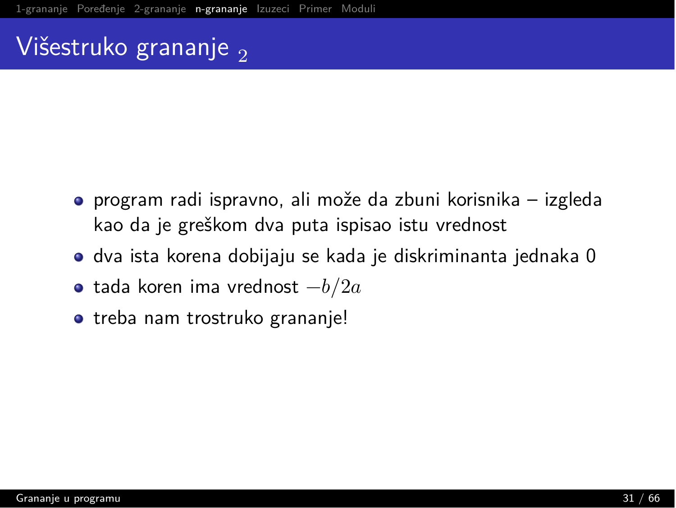# <u>Višest</u>ruko grananje <sub>2</sub>

- $\bullet$  program radi ispravno, ali može da zbuni korisnika izgleda kao da je greškom dva puta ispisao istu vrednost
- $\bullet$  dva ista korena dobijaju se kada je diskriminanta jednaka 0
- $\bullet\,$  tada koren ima vrednost  $-b/2a$
- treba nam trostruko grananje!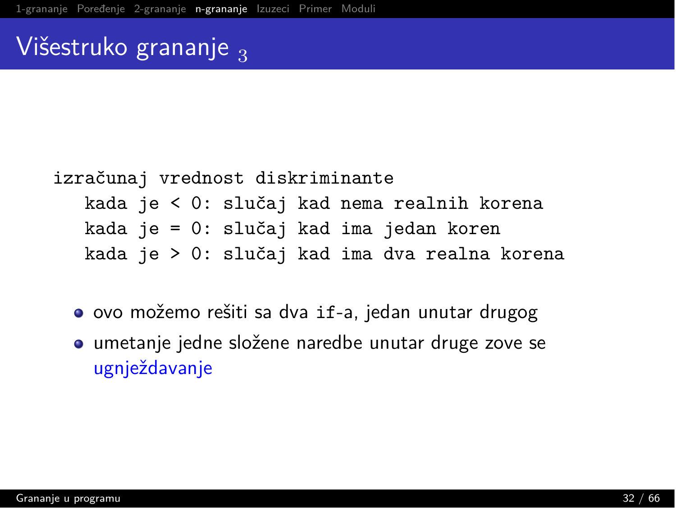#### <u>Višestruko grananje a</u>

```
izračunaj vrednost diskriminante
  kada je < 0: slučaj kad nema realnih korena
  kada je = 0: slučaj kad ima jedan koren
  kada je > 0: slučaj kad ima dva realna korena
```
- ovo možemo rešiti sa dva if-a, jedan unutar drugog
- umetanje jedne složene naredbe unutar druge zove se ugnježdavanje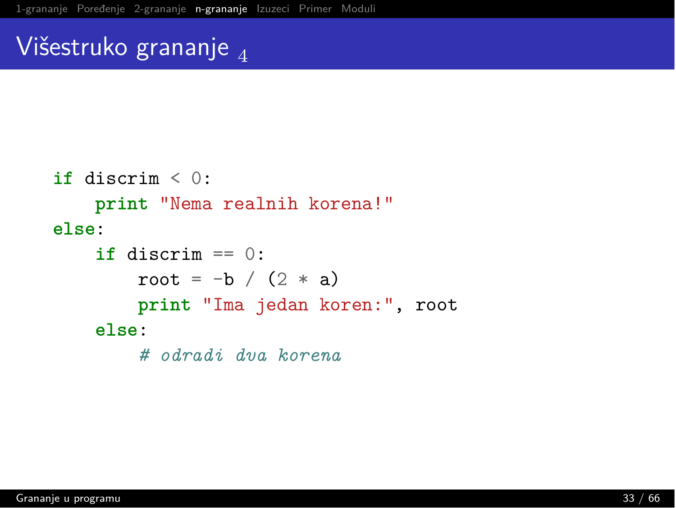#### Višestruko grananje  $\Lambda$

```
if discrim \leq 0:
    print "Nema realnih korena!"
else:
    \mathbf{if} discrim == 0:
        root = -b / (2 * a)print "Ima jedan koren:", root
    else:
         # odradi dva korena
```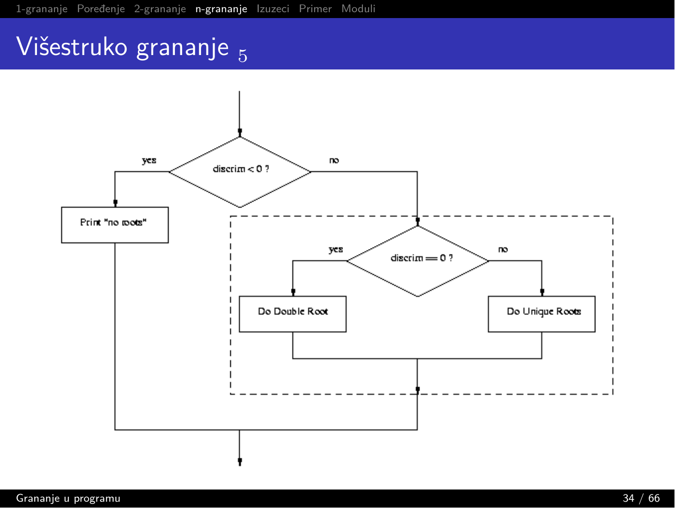# Višestruko grananje 5

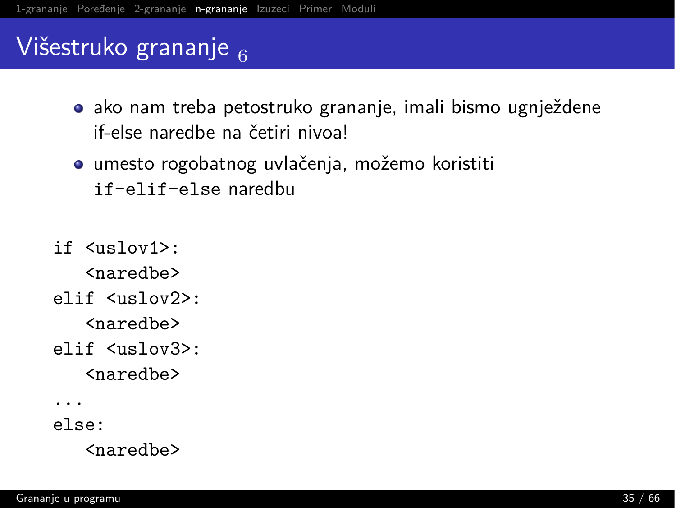# Višestruko grananje  $_6$

- $\bullet$  ako nam treba petostruko grananje, imali bismo ugnježdene if-else naredhe na četiri nivoal
- $\bullet$  umesto rogobatnog uvlačenja, možemo koristiti if-elif-else naredbu
- $if$   $\langle$ uslo $v1$ ).

 $\langle$ naredhe $\rangle$ 

elif <uslov2>:

 $<sub>naredbe</sub>$ </sub>

elif <uslov3>:  $<sub>naredbe</sub>$ </sub>

 $\ddots$ 

 $e$ lse:

 $<sub>naredbe</sub>$ </sub>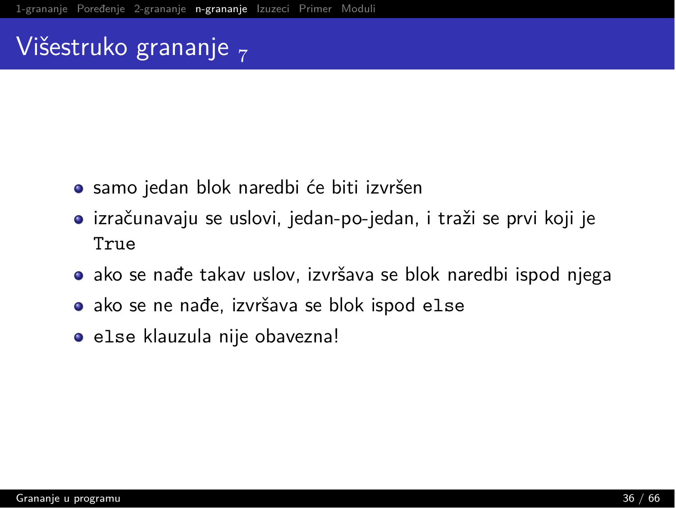#### Višestruko grananje  $\overline{z}$

- samo jedan blok naredbi će biti izvršen
- $\bullet$  izračunavaju se uslovi, jedan-po-jedan, i traži se prvi koji je True
- $\bullet$  ako se nađe takav uslov, izvršava se blok naredbi ispod njega
- $\bullet$  ako se ne nađe, izvršava se blok ispod else
- else klauzula nije obavezna!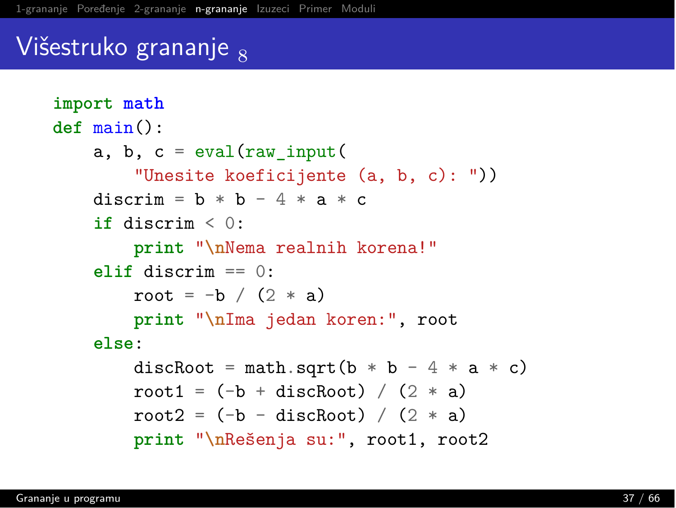#### Višestruko grananje  $_{8}$

```
import math
def main():
    a, b, c = eval(raw input)"Unesite koeficijente (a, b, c): "))
    discrim = b * b - 4 * a * cif discrim \leq 0:
        print "\nNema realnih korena!"
    alif discrim == 0:
        root = -b / (2 * a)print "\nIma jedan koren:", root
    else:
        discRoot = math.sqrt(b * b - 4 * a * c)
        root1 = (-b + discRoot) / (2 * a)root2 = (-b -discRoot) / (2 * a)print "\nRešenja su:", root1, root2
```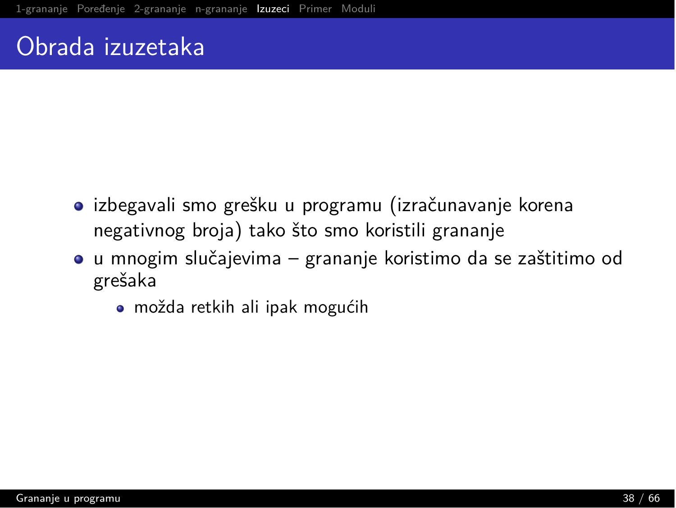## <span id="page-37-0"></span>Obrada izuzetaka

- $\bullet$  izbegavali smo grešku u programu (izračunavanje korena negativnog broja) tako što smo koristili grananje
- $\bullet$  u mnogim slučajevima grananje koristimo da se zaštitimo od grešaka
	- možda retkih ali ipak mogućih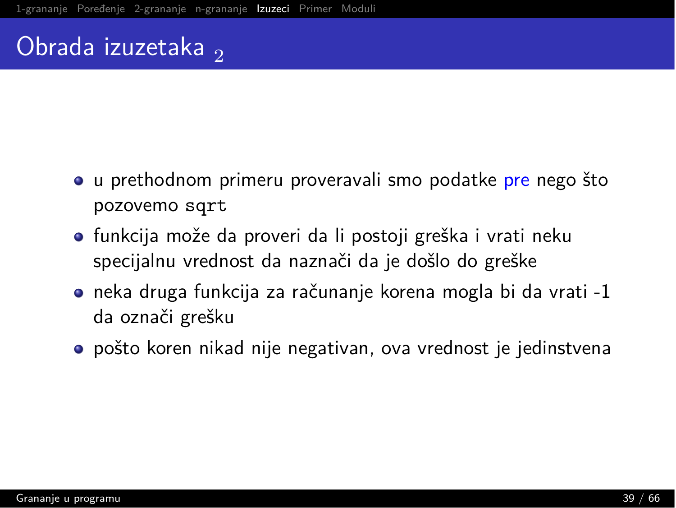# Obrada izuzetaka,

- o u prethodnom primeru proveravali smo podatke pre nego što pozovemo sqrt
- funkcija može da proveri da li postoji greška i vrati neku specijalnu vrednost da naznači da je došlo do greške
- $\bullet$  neka druga funkcija za računanje korena mogla bi da vrati -1 da označi grešku
- $\bullet$  pošto koren nikad nije negativan, ova vrednost je jedinstvena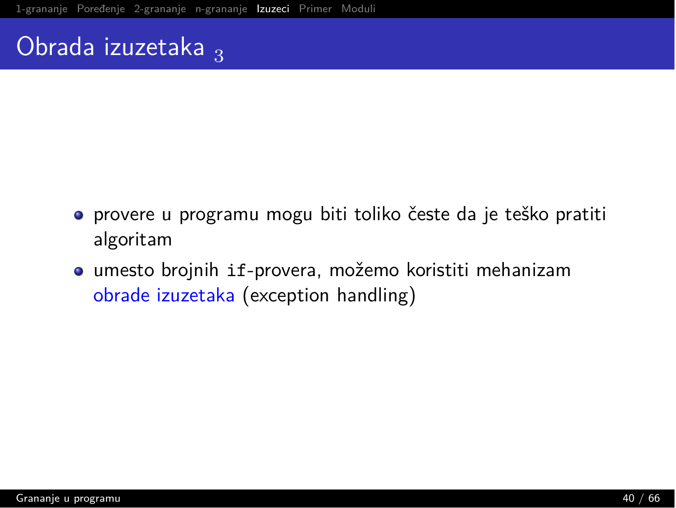# Obrada izuzetaka  $_3$

- provere u programu mogu biti toliko česte da je teško pratiti algoritam
- umesto brojnih if-provera, možemo koristiti mehanizam obrade izuzetaka (exception handling)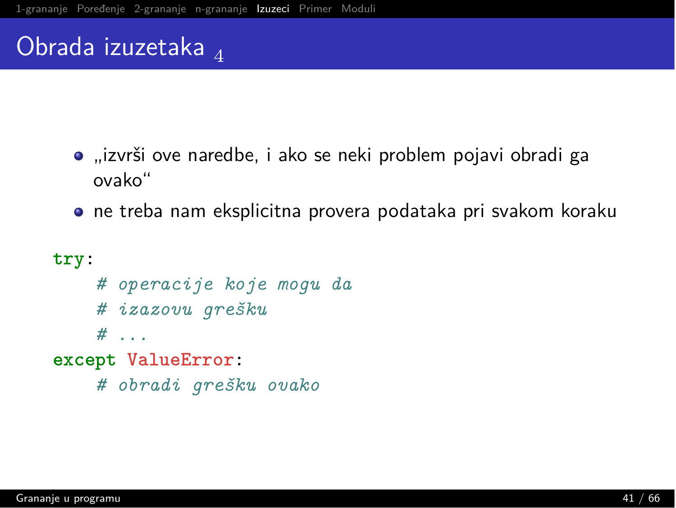# Obrada izuzetaka  $_4$

- "izvrši ove naredbe, i ako se neki problem pojavi obradi ga ovako"
- ne treba nam eksplicitna provera podataka pri svakom koraku

```
try:
    # operacije koje mogu da
    # izazovu grešku
    # . . .
except ValueError:
    # obradi grešku ovako
```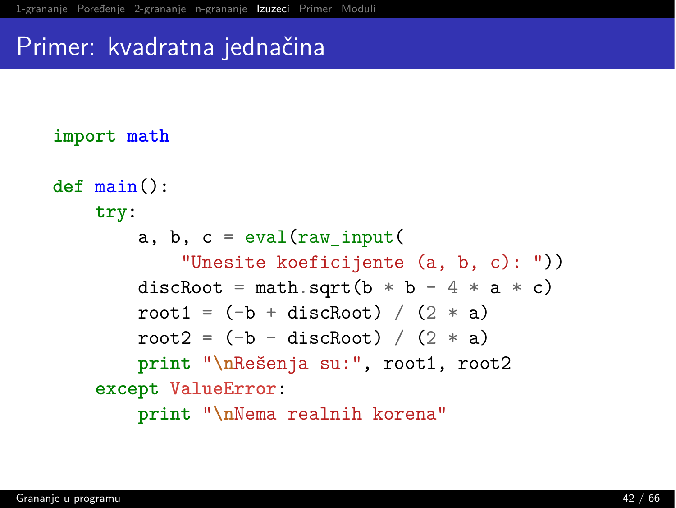#### Primer: kvadratna jednačina

#### import math

```
def main():
   try:
        a, b, c = eval(raw_input("Unesite koeficijente (a, b, c): "))
        discRoot = math.sqrt(b * b - 4 * a * c)
        root1 = (-b + discRoot) / (2 * a)root2 = (-b -discRoot) / (2 * a)print "\nRešenja su:", root1, root2
    2t+2Ti oHm21``Q`,
        print "\nNema realnih korena"
```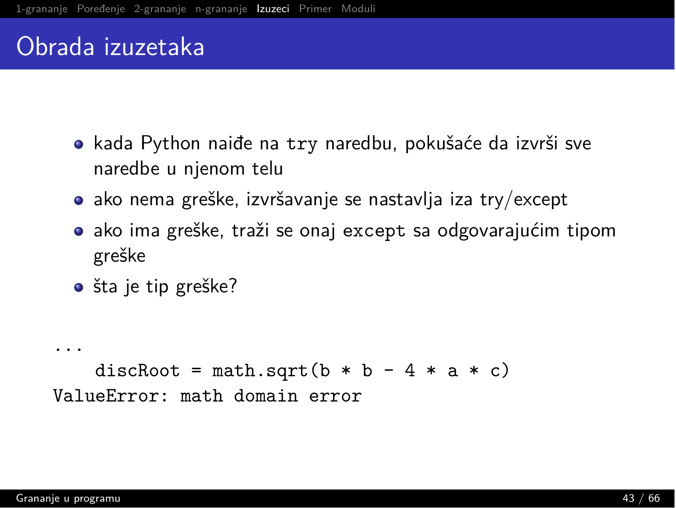## Obrada izuzetaka

- $\bullet$  kada Python naiđe na try naredbu, pokušaće da izvrši sve naredbe u njenom telu
- $\bullet$  ako nema greške, izvršavanje se nastavlja iza try/except
- $\bullet$  ako ima greške, traži se onaj except sa odgovarajućim tipom greške
- $\bullet$  šta je tip greške?

```
\cdotsdiscRoot = math.sqrt(b * b - 4 * a * c)
ValueError: math domain error
```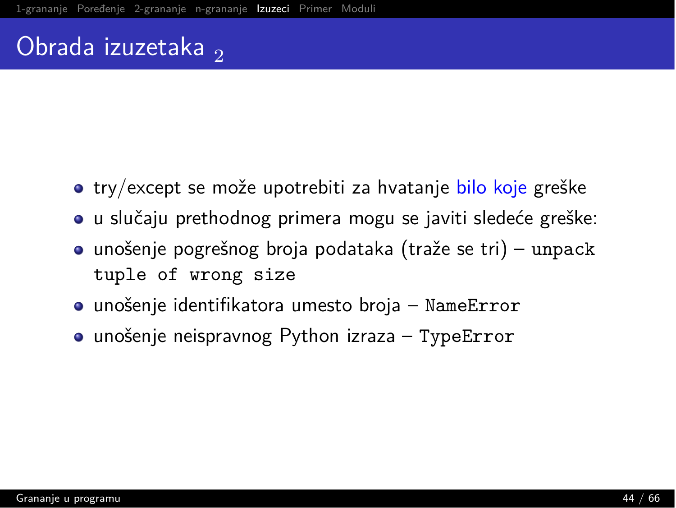# Obrada izuzetaka,

- try/except se može upotrebiti za hvatanje bilo koje greške
- u slučaju prethodnog primera mogu se javiti sledeće greške:
- $\bullet$  unošenje pogrešnog broja podataka (traže se tri) unpack tuple of wrong size
- $\bullet$  unošenje identifikatora umesto broja Name $Error$
- unošenje neispravnog Python izraza TypeError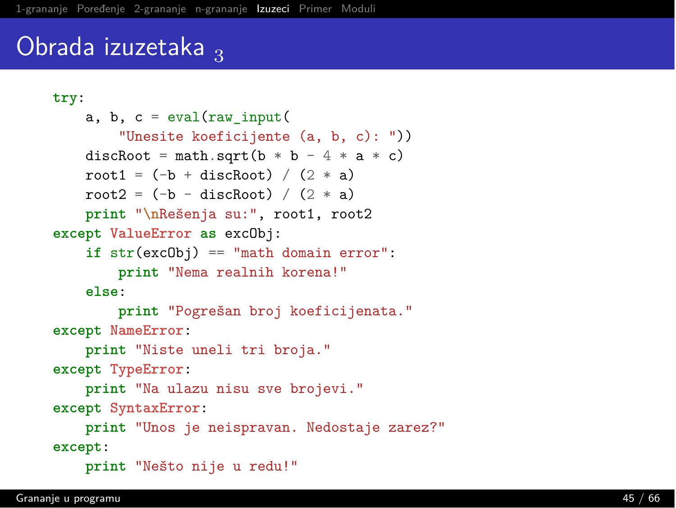# Obrada izuzetaka  $_3$

```
i`v,
    a, b, c = eval(raw input)"Unesite koeficijente (a, b, c): "))
    discRoot = math.sqrt(b * b - 4 * a * c)
    root1 = (-b + discRoot) / (2 * a)root2 = (-b -discRoot) / (2 * a)print "\nRešenja su:", root1, root2
\text{except ValueError} as \text{excObj}:\text{if } \text{str}(\text{excObj}) == \text{"math domain error":}print "Nema realnih korena!"
    Also:print "Pogrešan broj koeficijenata."
except NameError:
    print "Niste uneli tri broja."
exc except TypeError:
    print "Na ulazu nisu sve brojevi."
exc except Syntax Error:
    print "Unos je neispravan. Nedostaje zarez?"
except:
    print "Nešto nije u redu!"
```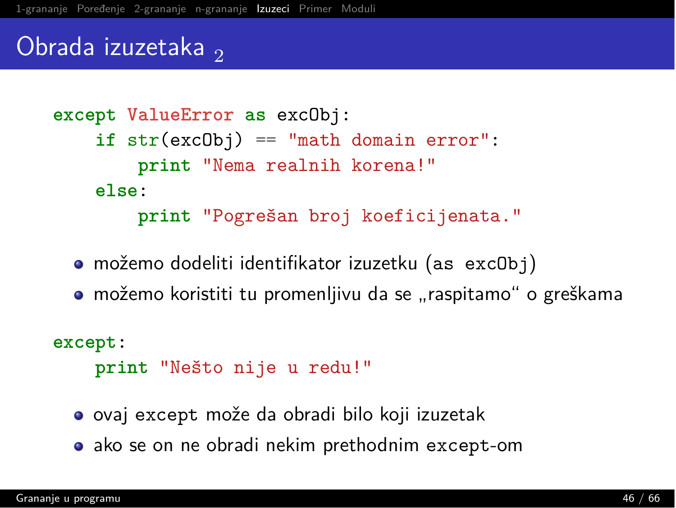#### Obrada izuzetaka,

```
2 except ValueError as excObj:
     \text{if } \text{str}(\text{excObj}) == \text{"math domain error":}print "Nema realnih korena!"
     else:
          print "Pogrešan broj koeficijenata."
```
- $\bullet$  možemo dodeliti identifikator izuzetku (as exc0bj)
- $\bullet$  možemo koristiti tu promenljivu da se "raspitamo" o greškama

except:

```
print "Nešto nije u redu!"
```
- $\bullet$  ovaj except može da obradi bilo koji izuzetak
- $\bullet$  ako se on ne obradi nekim prethodnim except-om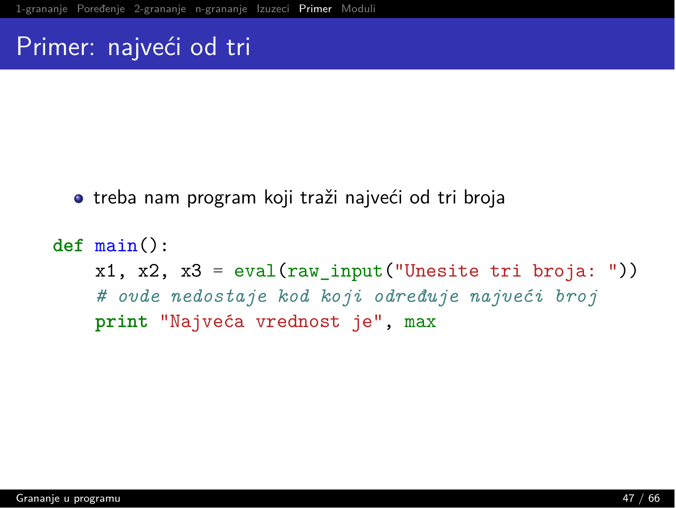# <span id="page-46-0"></span>Primer: najveći od tri

• treba nam program koji traži najveći od tri broja

```
def main():x1, x2, x3 = eval(raw input("Unesite tri broja:"))# ovde nedostaje kod koji određuje najveći broj
   print "Najveća vrednost je", max
```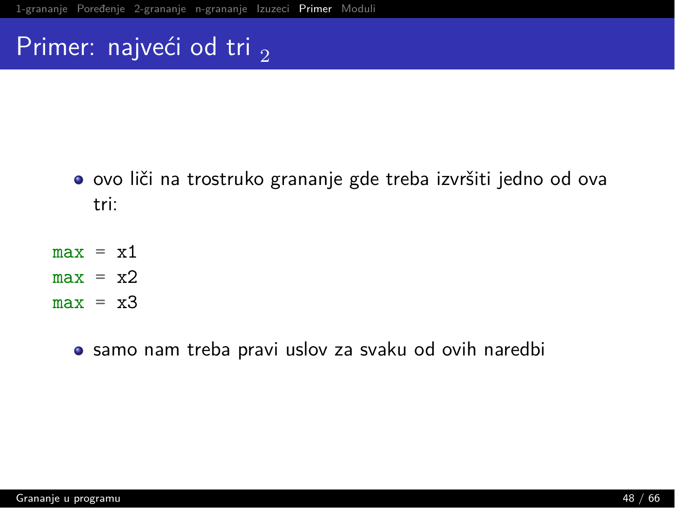# Primer: najveći od tri <sub>2</sub>

- · ovo liči na trostruko grananje gde treba izvršiti jedno od ova tri:
- $max = x1$
- $max = x2$
- $max = x3$ 
	- samo nam treba pravi uslov za svaku od ovih naredbi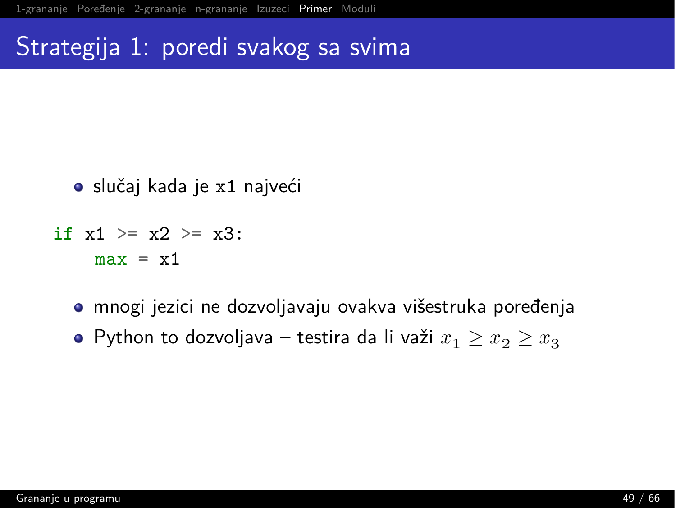#### Strategija 1: poredi svakog sa svima

- slučaj kada je x1 najveći
- if  $x1 \ge x2 \ge x3$ :  $max = x1$ 
	- mnogi jezici ne dozvoljavaju ovakva višestruka poređenja
	- $\bullet$  Python to dozvoljava testira da li važi  $x_1 \ge x_2 \ge x_3$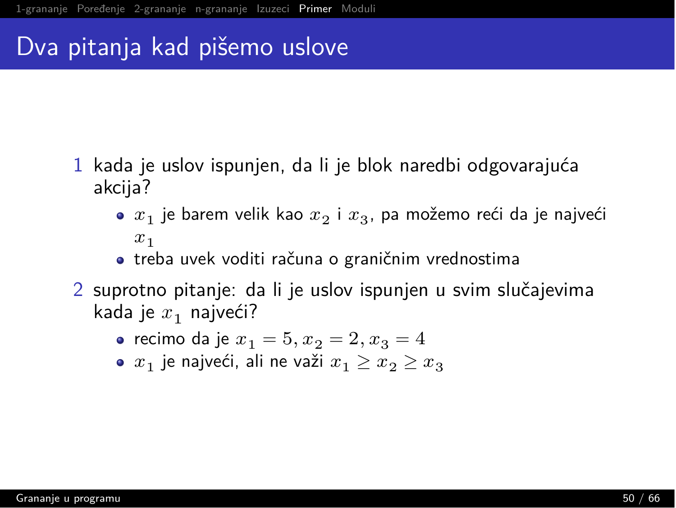#### Dva pitanja kad pišemo uslove

- 1 kada je uslov ispunjen, da li je blok naredbi odgovarajuća akcija?
	- $\bullet$   $x_1$  je barem velik kao  $x_2$  i  $x_3$ , pa možemo reći da je najveći  $x_1$
	- treba uvek voditi računa o graničnim vrednostima
- 2 suprotno pitanje: da li je uslov ispunjen u svim slučajevima kada je  $x_1$  najveći?
	- recimo da je  $x_1 = 5, x_2 = 2, x_3 = 4$
	- $\bullet$   $x_1$  je najveći, ali ne važi  $x_1 \ge x_2 \ge x_3$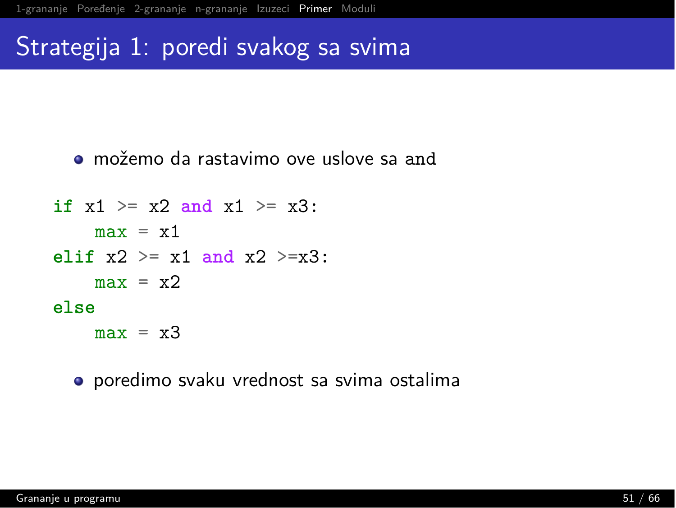#### Strategija 1: poredi svakog sa svima

 $\bullet$  možemo da rastavimo ove uslove sa and

```
if x1 \ge x2 and x1 \ge x3:
     max = x1elif x2 \ge x1 and x2 \ge x3:
     max = x2B<sub>2</sub>B<sub>2</sub>max = x3
```
 $\bullet$  poredimo svaku vrednost sa svima ostalima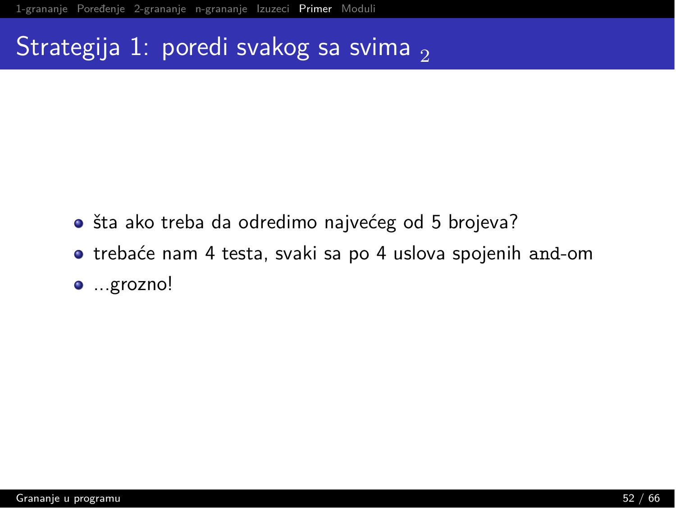# Strategija 1: poredi svakog sa svima,

- · šta ako treba da odredimo najvećeg od 5 brojeva?
- **•** trebaće nam 4 testa, svaki sa po 4 uslova spojenih and-om
- ...grozno!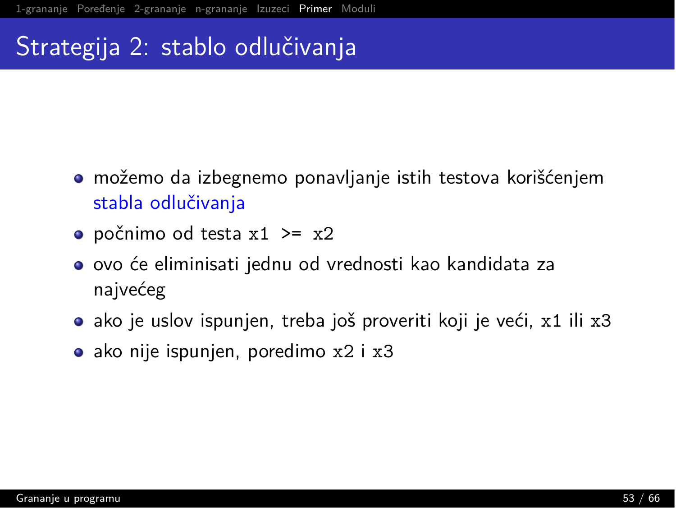- · možemo da izbegnemo ponavljanje istih testova korišćenjem stabla odlučivanja
- počnimo od testa  $x1 \geq x2$
- ovo će eliminisati jednu od vrednosti kao kandidata za najvećeg
- ako je uslov ispunjen, treba još proveriti koji je veći, x1 ili x3
- ako nije ispunjen, poredimo x2 i x3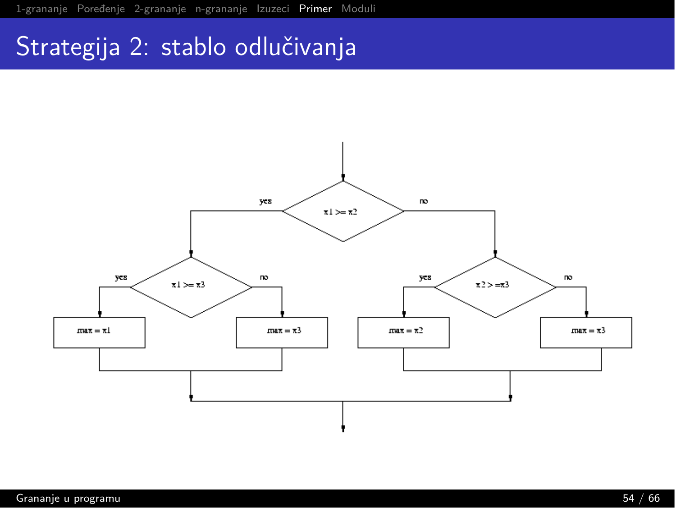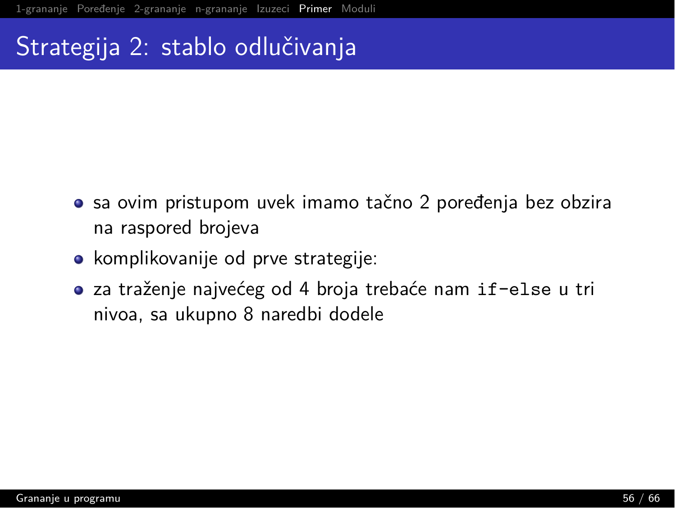- sa ovim pristupom uvek imamo tačno 2 poređenja bez obzira na raspored brojeva
- komplikovanije od prve strategije:
- za traženje najvećeg od 4 broja trebaće nam if-else u tri nivoa, sa ukupno 8 naredbi dodele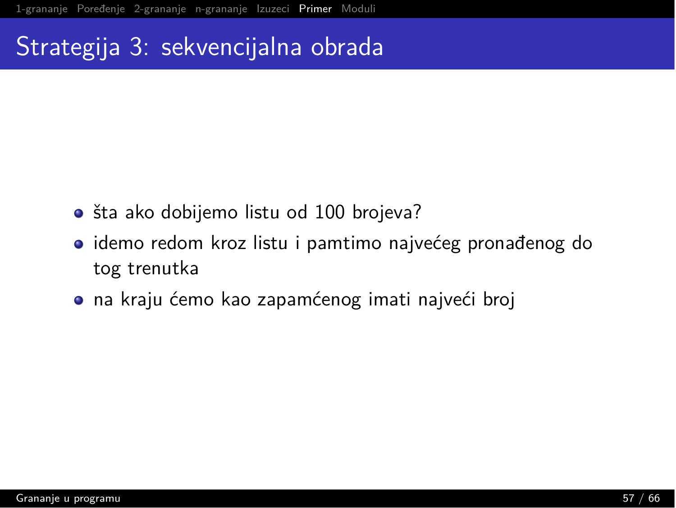- · šta ako dobijemo listu od 100 brojeva?
- · idemo redom kroz listu i pamtimo najvećeg pronađenog do tog trenutka
- · na kraju ćemo kao zapamćenog imati najveći broj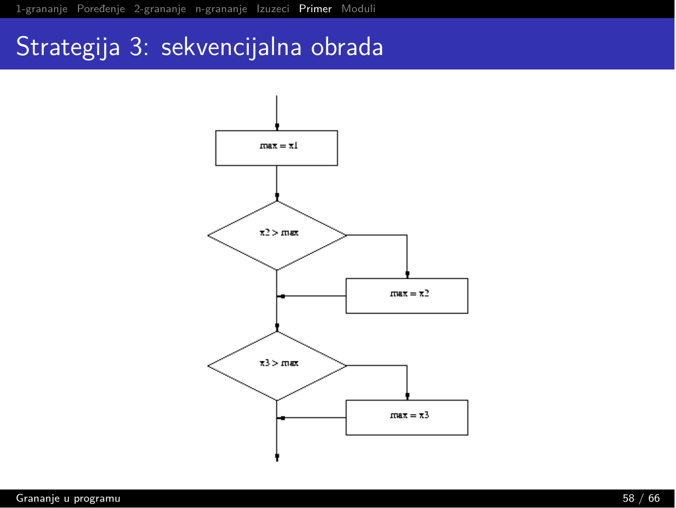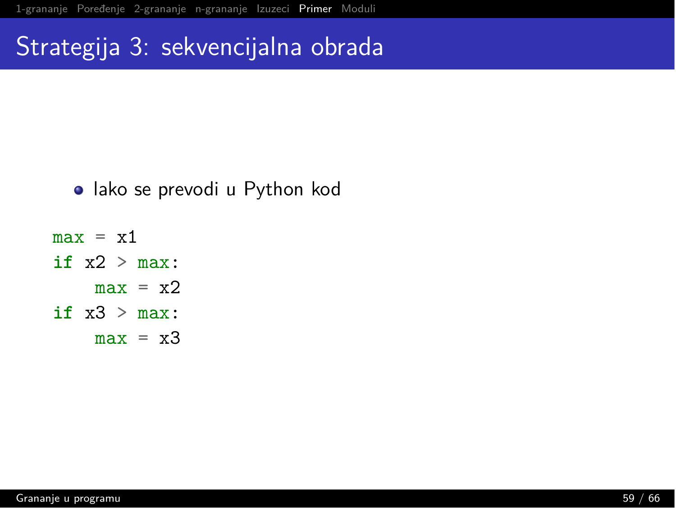- lako se prevodi u Python kod
- $max = x1$ if  $x2 > max$ :  $max = x2$ if  $x3 > max$ :  $max = x3$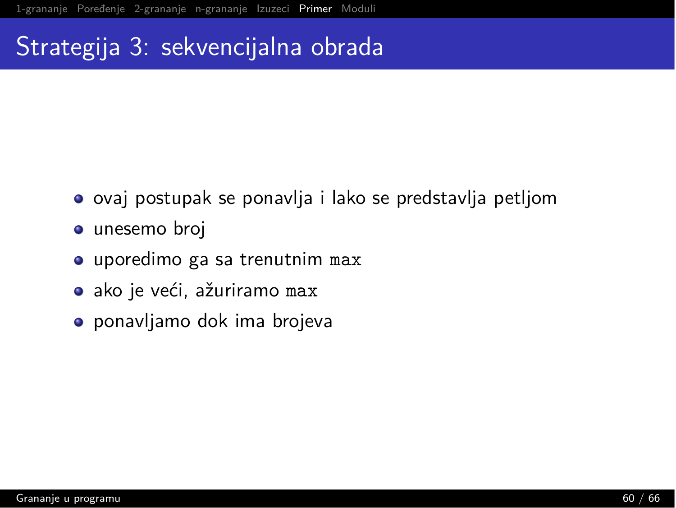- ovaj postupak se ponavlja i lako se predstavlja petljom
- · unesemo broj
- uporedimo ga sa trenutnim max
- · ako je veći, ažuriramo max
- ponavljamo dok ima brojeva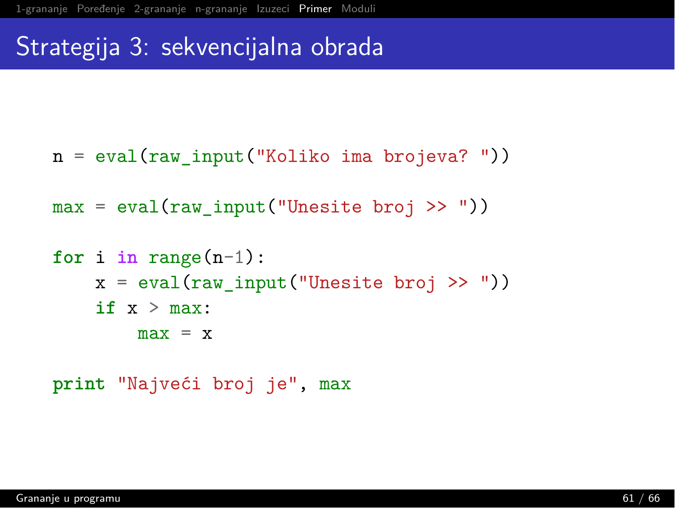$n = eval(raw input("Koliko ima brojeva?"))$ 

```
max = eval(raw input("Unesite broj >>"))
```

```
for i in range(n-1):
   x = eval(raw input("Unesite broj >>"))if x > max:max = x
```
print "Najveći broj je", max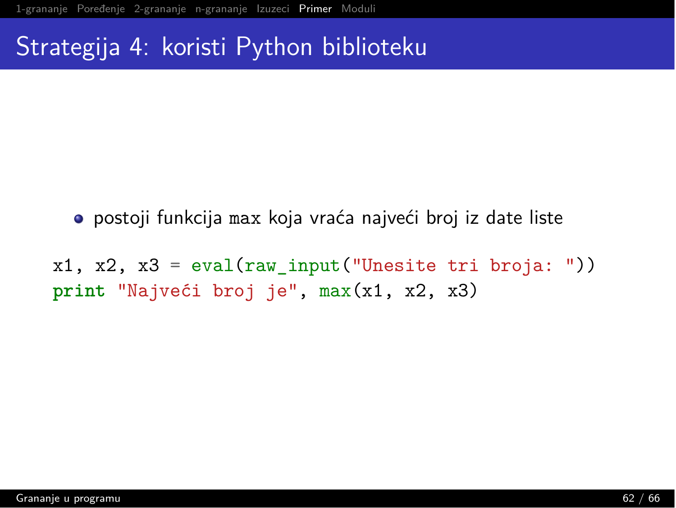#### Strategija 4: koristi Python biblioteku

- · postoji funkcija max koja vraća najveći broj iz date liste
- $x1, x2, x3 = eval(raw input("Unesite tri broja:"))$ print "Najveći broj je", max(x1, x2, x3)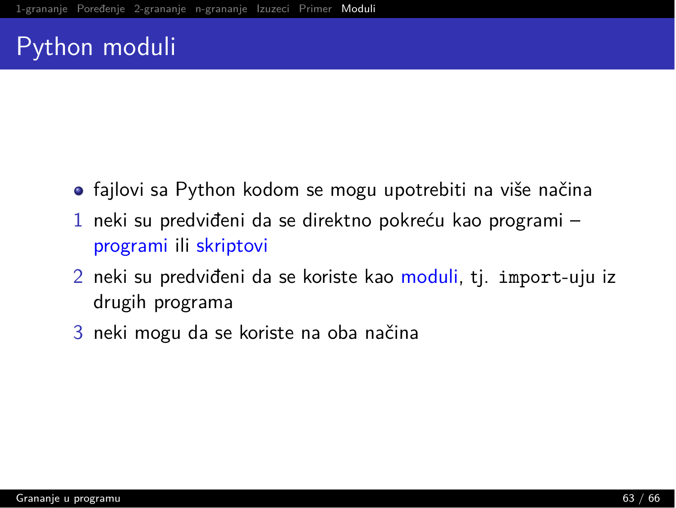# <span id="page-62-0"></span>Python moduli

- fajlovi sa Python kodom se mogu upotrebiti na više načina
- 1 neki su predviđeni da se direktno pokreću kao programi  $$ programi ili skriptovi
- 2 neki su predviđeni da se koriste kao moduli, tj. import-uju iz drugih programa
- 3 neki mogu da se koriste na oba načina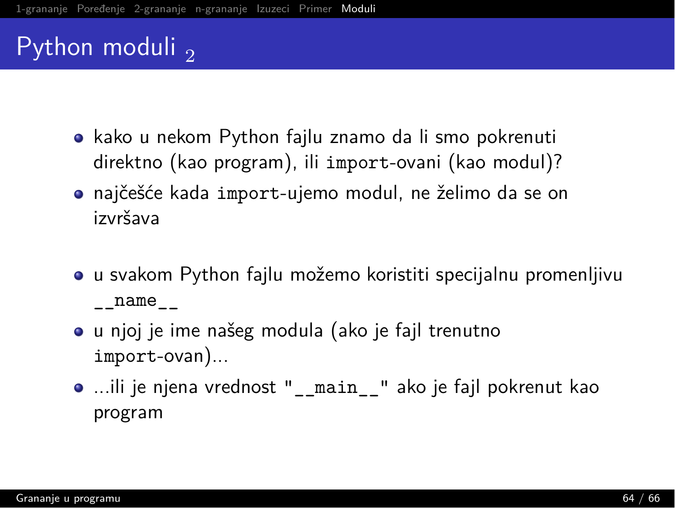# Python moduli  $\Omega$

- $\bullet$  kako u nekom Python fajlu znamo da li smo pokrenuti direktno (kao program), ili import-ovani (kao modul)?
- $\bullet$  najčešće kada import-ujemo modul, ne želimo da se on izvršava
- $\bullet$  u svakom Python fajlu možemo koristiti specijalnu promenljivu  $\_name_{--}$
- u njoj je ime našeg modula (ako je fajl trenutno  $import-ovan)$ ...
- ...ili je njena vrednost " main "ako je fajl pokrenut kao program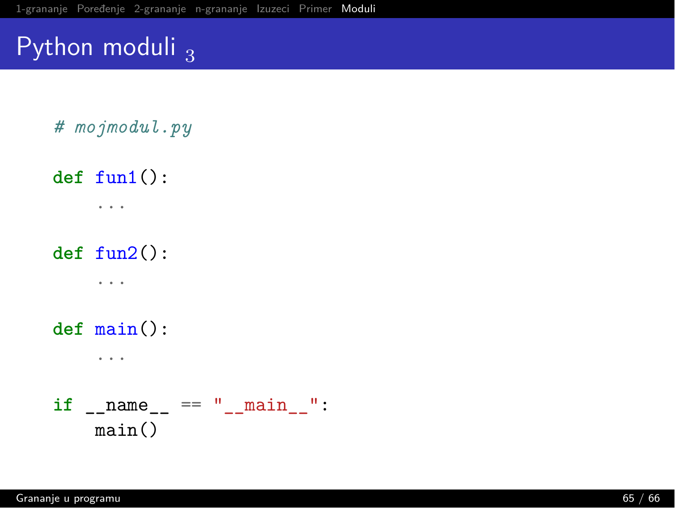# Python moduli  $_3$

# mojmodul.py

 $def$  fun1 $()$ :  $\cdots$ 

 $def~fun2():$ 

 $\sim$   $\sim$ 

 $def main():$  $\cdot$   $\cdot$   $\cdot$ 

if \_\_name\_\_ == "\_\_main\_\_":  $main()$